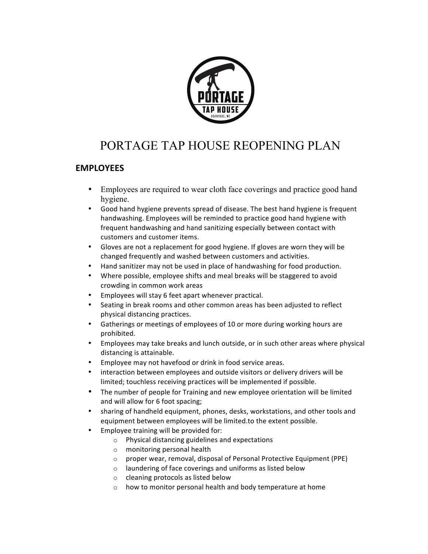

# PORTAGE TAP HOUSE REOPENING PLAN

# **EMPLOYEES**

- Employees are required to wear cloth face coverings and practice good hand hygiene.
- Good hand hygiene prevents spread of disease. The best hand hygiene is frequent handwashing. Employees will be reminded to practice good hand hygiene with frequent handwashing and hand sanitizing especially between contact with customers and customer items.
- Gloves are not a replacement for good hygiene. If gloves are worn they will be changed frequently and washed between customers and activities.
- Hand sanitizer may not be used in place of handwashing for food production.
- Where possible, employee shifts and meal breaks will be staggered to avoid crowding in common work areas
- Employees will stay 6 feet apart whenever practical.
- Seating in break rooms and other common areas has been adjusted to reflect physical distancing practices.
- Gatherings or meetings of employees of 10 or more during working hours are prohibited.
- Employees may take breaks and lunch outside, or in such other areas where physical distancing is attainable.
- Employee may not havefood or drink in food service areas.
- interaction between employees and outside visitors or delivery drivers will be limited; touchless receiving practices will be implemented if possible.
- The number of people for Training and new employee orientation will be limited and will allow for 6 foot spacing;
- sharing of handheld equipment, phones, desks, workstations, and other tools and equipment between employees will be limited.to the extent possible.
- Employee training will be provided for:
	- $\circ$  Physical distancing guidelines and expectations
	- $\circ$  monitoring personal health
	- $\circ$  proper wear, removal, disposal of Personal Protective Equipment (PPE)
	- $\circ$  laundering of face coverings and uniforms as listed below
	- $\circ$  cleaning protocols as listed below
	- $\circ$  how to monitor personal health and body temperature at home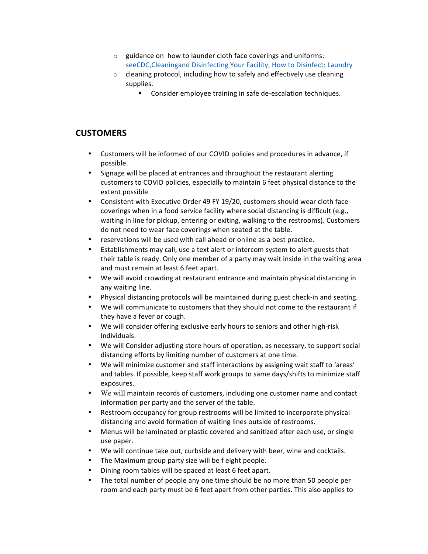- $\circ$  guidance on how to launder cloth face coverings and uniforms: seeCDC, Cleaningand Disinfecting Your Facility, How to Disinfect: Laundry
- $\circ$  cleaning protocol, including how to safely and effectively use cleaning supplies.
	- Consider employee training in safe de-escalation techniques.

#### **CUSTOMERS**

- Customers will be informed of our COVID policies and procedures in advance, if possible.
- Signage will be placed at entrances and throughout the restaurant alerting customers to COVID policies, especially to maintain 6 feet physical distance to the extent possible.
- Consistent with Executive Order 49 FY 19/20, customers should wear cloth face coverings when in a food service facility where social distancing is difficult (e.g., waiting in line for pickup, entering or exiting, walking to the restrooms). Customers do not need to wear face coverings when seated at the table.
- reservations will be used with call ahead or online as a best practice.
- Establishments may call, use a text alert or intercom system to alert guests that their table is ready. Only one member of a party may wait inside in the waiting area and must remain at least 6 feet apart.
- We will avoid crowding at restaurant entrance and maintain physical distancing in any waiting line.
- Physical distancing protocols will be maintained during guest check-in and seating.
- We will communicate to customers that they should not come to the restaurant if they have a fever or cough.
- We will consider offering exclusive early hours to seniors and other high-risk individuals.
- We will Consider adjusting store hours of operation, as necessary, to support social distancing efforts by limiting number of customers at one time.
- We will minimize customer and staff interactions by assigning wait staff to 'areas' and tables. If possible, keep staff work groups to same days/shifts to minimize staff exposures.
- We will maintain records of customers, including one customer name and contact information per party and the server of the table.
- Restroom occupancy for group restrooms will be limited to incorporate physical distancing and avoid formation of waiting lines outside of restrooms.
- Menus will be laminated or plastic covered and sanitized after each use, or single use paper.
- We will continue take out, curbside and delivery with beer, wine and cocktails.
- The Maximum group party size will be f eight people.
- Dining room tables will be spaced at least 6 feet apart.
- The total number of people any one time should be no more than 50 people per room and each party must be 6 feet apart from other parties. This also applies to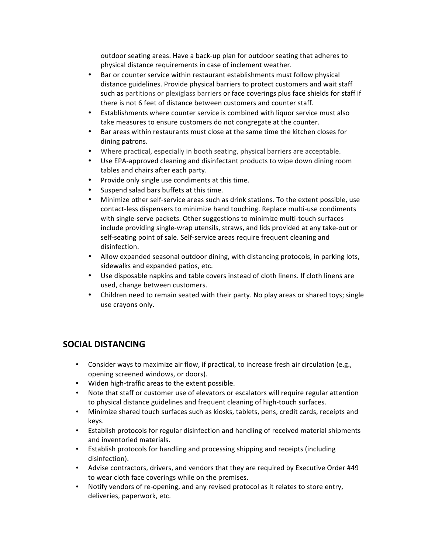outdoor seating areas. Have a back-up plan for outdoor seating that adheres to physical distance requirements in case of inclement weather.

- Bar or counter service within restaurant establishments must follow physical distance guidelines. Provide physical barriers to protect customers and wait staff such as partitions or plexiglass barriers or face coverings plus face shields for staff if there is not 6 feet of distance between customers and counter staff.
- Establishments where counter service is combined with liquor service must also take measures to ensure customers do not congregate at the counter.
- Bar areas within restaurants must close at the same time the kitchen closes for dining patrons.
- Where practical, especially in booth seating, physical barriers are acceptable.
- Use EPA-approved cleaning and disinfectant products to wipe down dining room tables and chairs after each party.
- Provide only single use condiments at this time.
- Suspend salad bars buffets at this time.
- Minimize other self-service areas such as drink stations. To the extent possible, use contact-less dispensers to minimize hand touching. Replace multi-use condiments with single-serve packets. Other suggestions to minimize multi-touch surfaces include providing single-wrap utensils, straws, and lids provided at any take-out or self-seating point of sale. Self-service areas require frequent cleaning and disinfection.
- Allow expanded seasonal outdoor dining, with distancing protocols, in parking lots, sidewalks and expanded patios, etc.
- Use disposable napkins and table covers instead of cloth linens. If cloth linens are used, change between customers.
- Children need to remain seated with their party. No play areas or shared toys; single use crayons only.

## **SOCIAL DISTANCING**

- Consider ways to maximize air flow, if practical, to increase fresh air circulation (e.g., opening screened windows, or doors).
- Widen high-traffic areas to the extent possible.
- Note that staff or customer use of elevators or escalators will require regular attention to physical distance guidelines and frequent cleaning of high-touch surfaces.
- Minimize shared touch surfaces such as kiosks, tablets, pens, credit cards, receipts and keys.
- Establish protocols for regular disinfection and handling of received material shipments and inventoried materials.
- Establish protocols for handling and processing shipping and receipts (including disinfection).
- Advise contractors, drivers, and vendors that they are required by Executive Order #49 to wear cloth face coverings while on the premises.
- Notify vendors of re-opening, and any revised protocol as it relates to store entry, deliveries, paperwork, etc.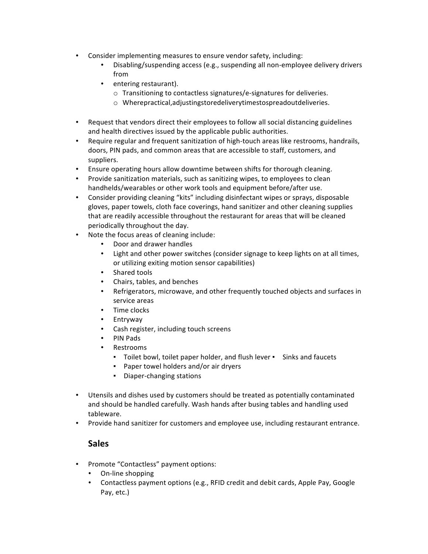- Consider implementing measures to ensure vendor safety, including:
	- Disabling/suspending access (e.g., suspending all non-employee delivery drivers from
	- entering restaurant).
		- $\circ$  Transitioning to contactless signatures/e-signatures for deliveries.
		- o Wherepractical,adjustingstoredeliverytimestospreadoutdeliveries.
- Request that vendors direct their employees to follow all social distancing guidelines and health directives issued by the applicable public authorities.
- Require regular and frequent sanitization of high-touch areas like restrooms, handrails, doors, PIN pads, and common areas that are accessible to staff, customers, and suppliers.
- Ensure operating hours allow downtime between shifts for thorough cleaning.
- Provide sanitization materials, such as sanitizing wipes, to employees to clean handhelds/wearables or other work tools and equipment before/after use.
- Consider providing cleaning "kits" including disinfectant wipes or sprays, disposable gloves, paper towels, cloth face coverings, hand sanitizer and other cleaning supplies that are readily accessible throughout the restaurant for areas that will be cleaned periodically throughout the day.
- Note the focus areas of cleaning include:
	- Door and drawer handles
	- Light and other power switches (consider signage to keep lights on at all times, or utilizing exiting motion sensor capabilities)
	- Shared tools
	- Chairs, tables, and benches
	- Refrigerators, microwave, and other frequently touched objects and surfaces in service areas
	- Time clocks
	- Entryway
	- Cash register, including touch screens
	- PIN Pads
	- Restrooms
		- Toilet bowl, toilet paper holder, and flush lever Sinks and faucets
		- Paper towel holders and/or air dryers
		- Diaper-changing stations
- Utensils and dishes used by customers should be treated as potentially contaminated and should be handled carefully. Wash hands after busing tables and handling used tableware.
- Provide hand sanitizer for customers and employee use, including restaurant entrance.

## **Sales**

- Promote "Contactless" payment options:
	- On-line shopping
	- Contactless payment options (e.g., RFID credit and debit cards, Apple Pay, Google Pay, etc.)